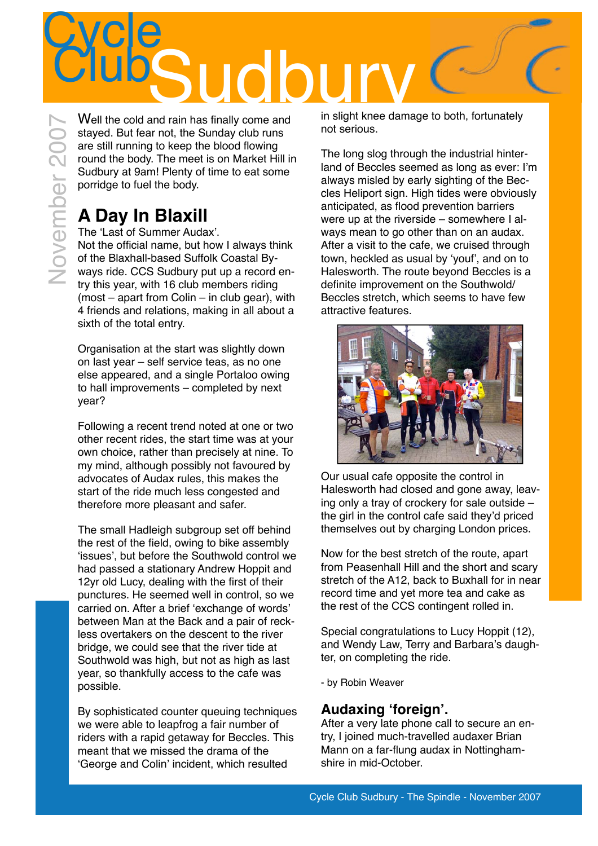

Well the cold and rain has finally come and stayed. But fear not, the Sunday club runs are still running to keep the blood flowing round the body. The meet is on Market Hill in Sudbury at 9am! Plenty of time to eat some porridge to fuel the body.

# **A Day In Blaxill**

November 2007November 200

The ʻLast of Summer Audax'. Not the official name, but how I always think of the Blaxhall-based Suffolk Coastal Byways ride. CCS Sudbury put up a record entry this year, with 16 club members riding (most – apart from Colin – in club gear), with 4 friends and relations, making in all about a sixth of the total entry.

Organisation at the start was slightly down on last year – self service teas, as no one else appeared, and a single Portaloo owing to hall improvements – completed by next year?

Following a recent trend noted at one or two other recent rides, the start time was at your own choice, rather than precisely at nine. To my mind, although possibly not favoured by advocates of Audax rules, this makes the start of the ride much less congested and therefore more pleasant and safer.

The small Hadleigh subgroup set off behind the rest of the field, owing to bike assembly ʻissues', but before the Southwold control we had passed a stationary Andrew Hoppit and 12yr old Lucy, dealing with the first of their punctures. He seemed well in control, so we carried on. After a brief ʻexchange of words' between Man at the Back and a pair of reckless overtakers on the descent to the river bridge, we could see that the river tide at Southwold was high, but not as high as last year, so thankfully access to the cafe was possible.

By sophisticated counter queuing techniques we were able to leapfrog a fair number of riders with a rapid getaway for Beccles. This meant that we missed the drama of the ʻGeorge and Colin' incident, which resulted

in slight knee damage to both, fortunately not serious.

The long slog through the industrial hinterland of Beccles seemed as long as ever: I'm always misled by early sighting of the Beccles Heliport sign. High tides were obviously anticipated, as flood prevention barriers were up at the riverside – somewhere I always mean to go other than on an audax. After a visit to the cafe, we cruised through town, heckled as usual by ʻyouf', and on to Halesworth. The route beyond Beccles is a definite improvement on the Southwold/ Beccles stretch, which seems to have few attractive features.



Our usual cafe opposite the control in Halesworth had closed and gone away, leaving only a tray of crockery for sale outside – the girl in the control cafe said they'd priced themselves out by charging London prices.

Now for the best stretch of the route, apart from Peasenhall Hill and the short and scary stretch of the A12, back to Buxhall for in near record time and yet more tea and cake as the rest of the CCS contingent rolled in.

Special congratulations to Lucy Hoppit (12), and Wendy Law, Terry and Barbara's daughter, on completing the ride.

- by Robin Weaver

### **Audaxing ʻforeign'.**

After a very late phone call to secure an entry, I joined much-travelled audaxer Brian Mann on a far-flung audax in Nottinghamshire in mid-October.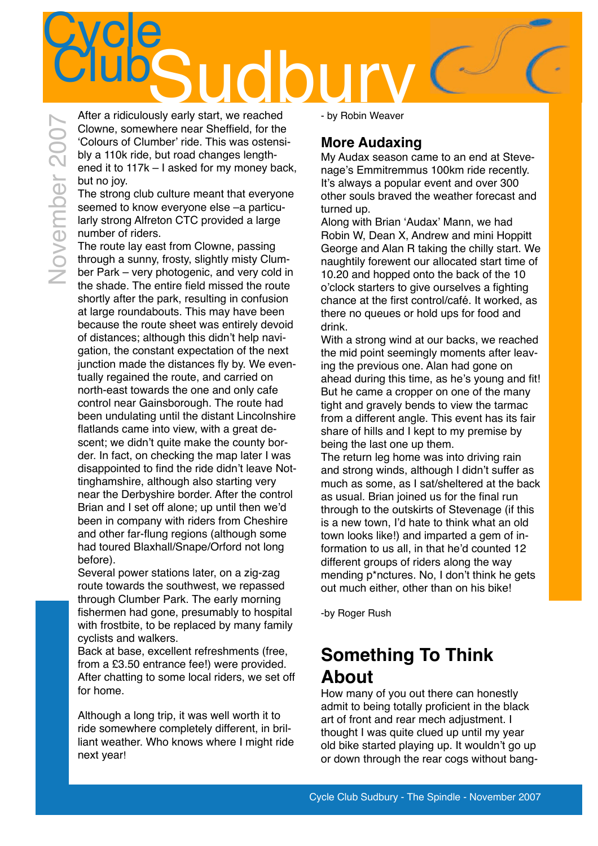# **Cycle** CLUBS UCDUM NATHER A ridiculously early start. we reached Fig. 2 by Robin Weaver

After a ridiculously early start, we reached Clowne, somewhere near Sheffield, for the ʻColours of Clumber' ride. This was ostensibly a 110k ride, but road changes lengthened it to 117k – I asked for my money back, but no joy.

The strong club culture meant that everyone seemed to know everyone else –a particularly strong Alfreton CTC provided a large number of riders.

The route lay east from Clowne, passing through a sunny, frosty, slightly misty Clumber Park – very photogenic, and very cold in the shade. The entire field missed the route shortly after the park, resulting in confusion at large roundabouts. This may have been because the route sheet was entirely devoid of distances; although this didn't help navigation, the constant expectation of the next junction made the distances fly by. We eventually regained the route, and carried on north-east towards the one and only cafe control near Gainsborough. The route had been undulating until the distant Lincolnshire flatlands came into view, with a great descent; we didn't quite make the county border. In fact, on checking the map later I was disappointed to find the ride didn't leave Nottinghamshire, although also starting very near the Derbyshire border. After the control Brian and I set off alone; up until then we'd been in company with riders from Cheshire and other far-flung regions (although some had toured Blaxhall/Snape/Orford not long before).

Several power stations later, on a zig-zag route towards the southwest, we repassed through Clumber Park. The early morning fishermen had gone, presumably to hospital with frostbite, to be replaced by many family cyclists and walkers.

Back at base, excellent refreshments (free, from a £3.50 entrance fee!) were provided. After chatting to some local riders, we set off for home.

Although a long trip, it was well worth it to ride somewhere completely different, in brilliant weather. Who knows where I might ride next year!

- by Robin Weaver

### **More Audaxing**

My Audax season came to an end at Stevenage's Emmitremmus 100km ride recently. It's always a popular event and over 300 other souls braved the weather forecast and turned up.

Along with Brian ʻAudax' Mann, we had Robin W, Dean X, Andrew and mini Hoppitt George and Alan R taking the chilly start. We naughtily forewent our allocated start time of 10.20 and hopped onto the back of the 10 o'clock starters to give ourselves a fighting chance at the first control/café. It worked, as there no queues or hold ups for food and drink.

With a strong wind at our backs, we reached the mid point seemingly moments after leaving the previous one. Alan had gone on ahead during this time, as he's young and fit! But he came a cropper on one of the many tight and gravely bends to view the tarmac from a different angle. This event has its fair share of hills and I kept to my premise by being the last one up them.

The return leg home was into driving rain and strong winds, although I didn't suffer as much as some, as I sat/sheltered at the back as usual. Brian joined us for the final run through to the outskirts of Stevenage (if this is a new town, I'd hate to think what an old town looks like!) and imparted a gem of information to us all, in that he'd counted 12 different groups of riders along the way mending p\*nctures. No, I don't think he gets out much either, other than on his bike!

-by Roger Rush

# **Something To Think About**

How many of you out there can honestly admit to being totally proficient in the black art of front and rear mech adjustment. I thought I was quite clued up until my year old bike started playing up. It wouldn't go up or down through the rear cogs without bang-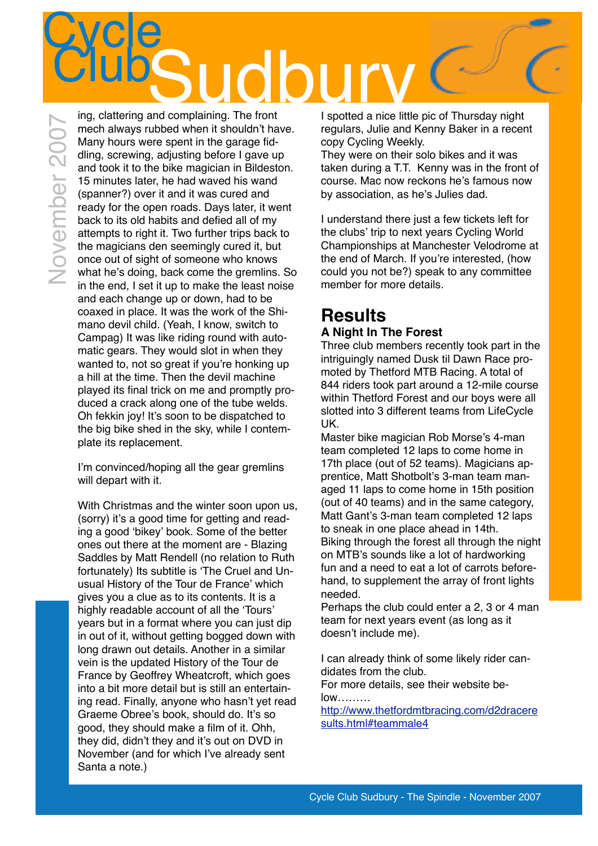# **Cycle** Clubs<br>
The clattering and complaining. The front

November 2007

ing, clattering and complaining. The front mech always rubbed when it shouldn't have. Many hours were spent in the garage fiddling, screwing, adjusting before I gave up and took it to the bike magician in Bildeston. 15 minutes later, he had waved his wand (spanner?) over it and it was cured and ready for the open roads. Days later, it went back to its old habits and defied all of my attempts to right it. Two further trips back to the magicians den seemingly cured it, but once out of sight of someone who knows what he's doing, back come the gremlins. So in the end, I set it up to make the least noise and each change up or down, had to be coaxed in place. It was the work of the Shimano devil child. (Yeah, I know, switch to Campag) It was like riding round with automatic gears. They would slot in when they wanted to, not so great if you're honking up a hill at the time. Then the devil machine played its final trick on me and promptly produced a crack along one of the tube welds. Oh fekkin joy! It's soon to be dispatched to the big bike shed in the sky, while I contemplate its replacement.

I'm convinced/hoping all the gear gremlins will depart with it.

With Christmas and the winter soon upon us, (sorry) it's a good time for getting and reading a good ʻbikey' book. Some of the better ones out there at the moment are - Blazing Saddles by Matt Rendell (no relation to Ruth fortunately) Its subtitle is ʻThe Cruel and Unusual History of the Tour de France' which gives you a clue as to its contents. It is a highly readable account of all the ʻTours' years but in a format where you can just dip in out of it, without getting bogged down with long drawn out details. Another in a similar vein is the updated History of the Tour de France by Geoffrey Wheatcroft, which goes into a bit more detail but is still an entertaining read. Finally, anyone who hasn't yet read Graeme Obree's book, should do. It's so good, they should make a film of it. Ohh, they did, didn't they and it's out on DVD in November (and for which I've already sent Santa a note.)

I spotted a nice little pic of Thursday night regulars, Julie and Kenny Baker in a recent copy Cycling Weekly.

They were on their solo bikes and it was taken during a T.T. Kenny was in the front of course. Mac now reckons he's famous now by association, as he's Julies dad.

I understand there just a few tickets left for the clubs' trip to next years Cycling World Championships at Manchester Velodrome at the end of March. If you're interested, (how could you not be?) speak to any committee member for more details.

### **Results A Night In The Forest**

Three club members recently took part in the intriguingly named Dusk til Dawn Race promoted by Thetford MTB Racing. A total of 844 riders took part around a 12-mile course within Thetford Forest and our boys were all slotted into 3 different teams from LifeCycle UK.

Master bike magician Rob Morse's 4-man team completed 12 laps to come home in 17th place (out of 52 teams). Magicians apprentice, Matt Shotbolt's 3-man team managed 11 laps to come home in 15th position (out of 40 teams) and in the same category, Matt Gant's 3-man team completed 12 laps to sneak in one place ahead in 14th. Biking through the forest all through the night on MTB's sounds like a lot of hardworking fun and a need to eat a lot of carrots beforehand, to supplement the array of front lights needed.

Perhaps the club could enter a 2, 3 or 4 man team for next years event (as long as it doesn't include me).

I can already think of some likely rider candidates from the club.

For more details, see their website below………

[http://www.thetfordmtbracing.com/d2dracere](http://www.thetfordmtbracing.com/d2draceresults.html%23teammale4) [sults.html#teammale4](http://www.thetfordmtbracing.com/d2draceresults.html%23teammale4)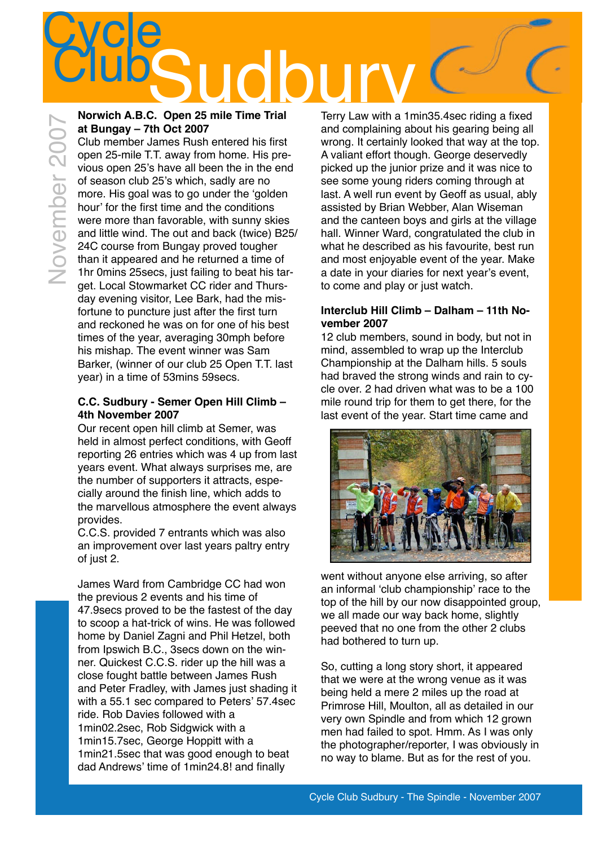# **Cycle** Club<sub>Sudd</sub>bury ClubSuddare ClubSuddare ClubSuddare ClubSuddare ClubSuddare ClubSuddare ClubSuddare ClubSuddare ClubSuddare ClubSuddare ClubSuddare ClubSuddare ClubSuddare ClubSuddare ClubSuddare ClubSuddare ClubSuddare Clu

#### **Norwich A.B.C. Open 25 mile Time Trial at Bungay – 7th Oct 2007**

Club member James Rush entered his first open 25-mile T.T. away from home. His previous open 25's have all been the in the end of season club 25's which, sadly are no more. His goal was to go under the 'golden hour' for the first time and the conditions were more than favorable, with sunny skies and little wind. The out and back (twice) B25/ 24C course from Bungay proved tougher than it appeared and he returned a time of 1hr 0mins 25secs, just failing to beat his target. Local Stowmarket CC rider and Thursday evening visitor, Lee Bark, had the misfortune to puncture just after the first turn and reckoned he was on for one of his best times of the year, averaging 30mph before his mishap. The event winner was Sam Barker, (winner of our club 25 Open T.T. last year) in a time of 53mins 59secs.

#### **C.C. Sudbury - Semer Open Hill Climb – 4th November 2007**

Our recent open hill climb at Semer, was held in almost perfect conditions, with Geoff reporting 26 entries which was 4 up from last years event. What always surprises me, are the number of supporters it attracts, especially around the finish line, which adds to the marvellous atmosphere the event always provides.

C.C.S. provided 7 entrants which was also an improvement over last years paltry entry of just 2.

James Ward from Cambridge CC had won the previous 2 events and his time of 47.9secs proved to be the fastest of the day to scoop a hat-trick of wins. He was followed home by Daniel Zagni and Phil Hetzel, both from Ipswich B.C., 3secs down on the winner. Quickest C.C.S. rider up the hill was a close fought battle between James Rush and Peter Fradley, with James just shading it with a 55.1 sec compared to Peters' 57.4sec ride. Rob Davies followed with a 1min02.2sec, Rob Sidgwick with a 1min15.7sec, George Hoppitt with a 1min21.5sec that was good enough to beat dad Andrews' time of 1min24.8! and finally

Terry Law with a 1min35.4sec riding a fixed and complaining about his gearing being all wrong. It certainly looked that way at the top. A valiant effort though. George deservedly picked up the junior prize and it was nice to see some young riders coming through at last. A well run event by Geoff as usual, ably assisted by Brian Webber, Alan Wiseman and the canteen boys and girls at the village hall. Winner Ward, congratulated the club in what he described as his favourite, best run and most enjoyable event of the year. Make a date in your diaries for next year's event, to come and play or just watch.

#### **Interclub Hill Climb – Dalham – 11th November 2007**

12 club members, sound in body, but not in mind, assembled to wrap up the Interclub Championship at the Dalham hills. 5 souls had braved the strong winds and rain to cycle over. 2 had driven what was to be a 100 mile round trip for them to get there, for the last event of the year. Start time came and



went without anyone else arriving, so after an informal ʻclub championship' race to the top of the hill by our now disappointed group, we all made our way back home, slightly peeved that no one from the other 2 clubs had bothered to turn up.

So, cutting a long story short, it appeared that we were at the wrong venue as it was being held a mere 2 miles up the road at Primrose Hill, Moulton, all as detailed in our very own Spindle and from which 12 grown men had failed to spot. Hmm. As I was only the photographer/reporter, I was obviously in no way to blame. But as for the rest of you.